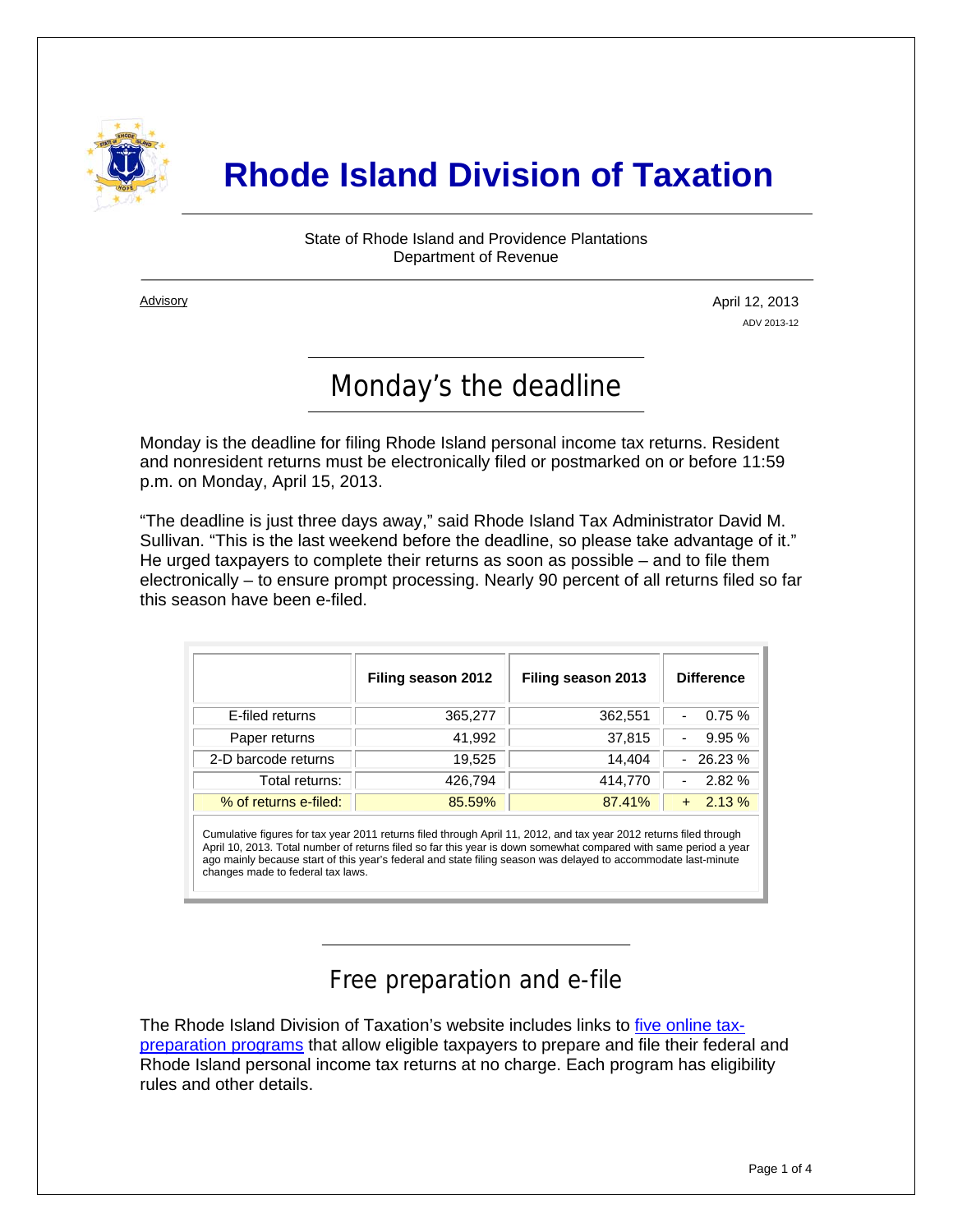

# **Rhode Island Division of Taxation**

State of Rhode Island and Providence Plantations Department of Revenue

**Advisory** 

i

April 12, 2013 ADV 2013-12

# Monday's the deadline

Monday is the deadline for filing Rhode Island personal income tax returns. Resident and nonresident returns must be electronically filed or postmarked on or before 11:59 p.m. on Monday, April 15, 2013.

"The deadline is just three days away," said Rhode Island Tax Administrator David M. Sullivan. "This is the last weekend before the deadline, so please take advantage of it." He urged taxpayers to complete their returns as soon as possible – and to file them electronically – to ensure prompt processing. Nearly 90 percent of all returns filed so far this season have been e-filed.

|                       | Filing season 2012 | Filing season 2013 | <b>Difference</b> |
|-----------------------|--------------------|--------------------|-------------------|
| E-filed returns       | 365,277            | 362,551            | 0.75%             |
| Paper returns         | 41,992             | 37,815             | 9.95%             |
| 2-D barcode returns   | 19.525             | 14.404             | $-26.23%$         |
| Total returns:        | 426,794            | 414,770            | 2.82%             |
| % of returns e-filed: | 85.59%             | 87.41%             | 2.13%             |

Cumulative figures for tax year 2011 returns filed through April 11, 2012, and tax year 2012 returns filed through April 10, 2013. Total number of returns filed so far this year is down somewhat compared with same period a year ago mainly because start of this year's federal and state filing season was delayed to accommodate last-minute changes made to federal tax laws.

## Free preparation and e-file

The Rhode Island Division of Taxation's website includes links to [five online tax](http://www.tax.ri.gov/misc/efile.php)[preparation programs](http://www.tax.ri.gov/misc/efile.php) that allow eligible taxpayers to prepare and file their federal and Rhode Island personal income tax returns at no charge. Each program has eligibility rules and other details.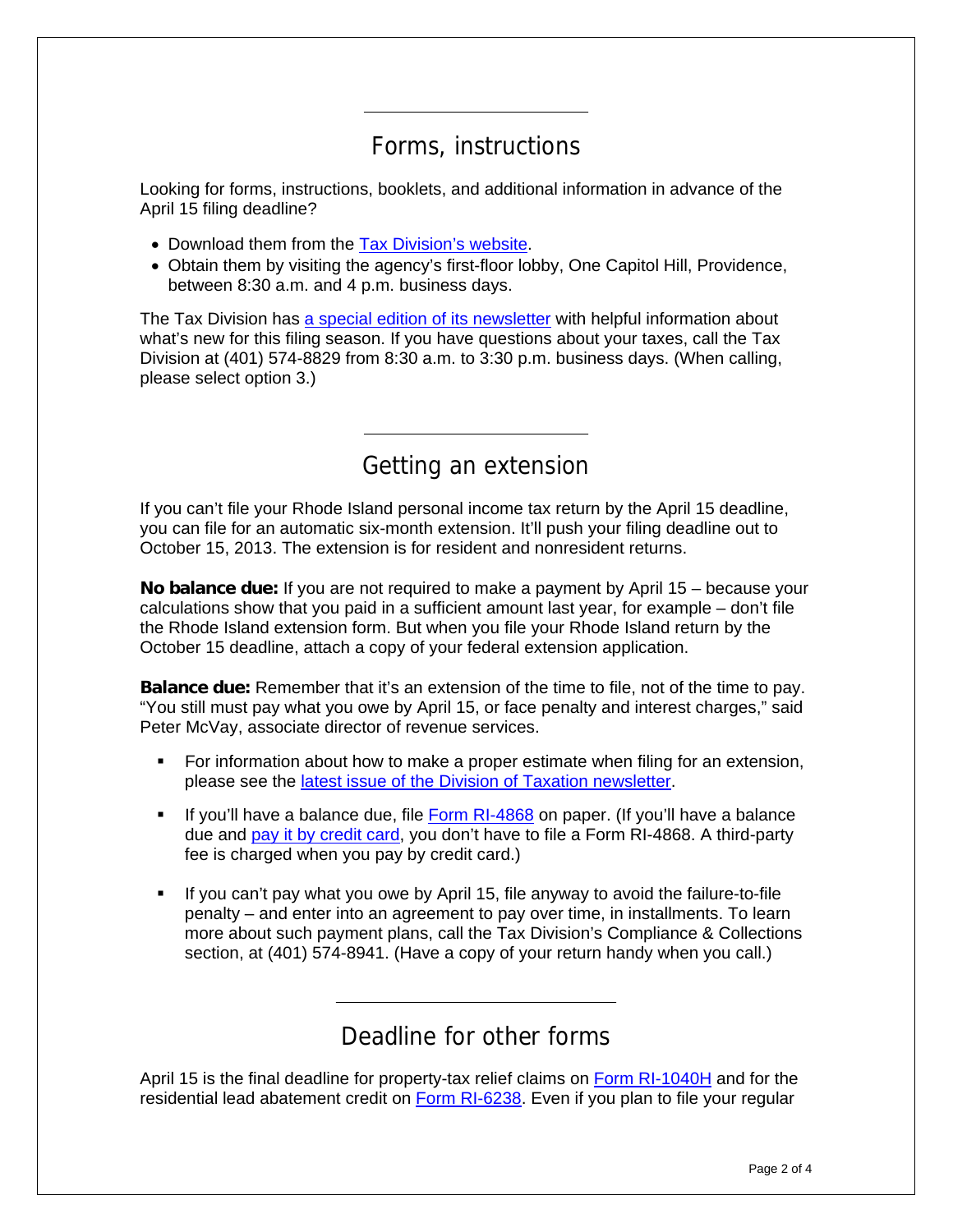#### Forms, instructions

Looking for forms, instructions, booklets, and additional information in advance of the April 15 filing deadline?

- Download them from the [Tax Division's website](http://www.tax.ri.gov/taxforms/personal.php).
- Obtain them by visiting the agency's first-floor lobby, One Capitol Hill, Providence, between 8:30 a.m. and 4 p.m. business days.

The Tax Division has [a special edition of its newsletter](http://www.tax.ri.gov/newsletter/Rhode%20Island%20Division%20of%20Taxation%20Newsletter%20--%20Special%20Edition%20--%20Filing%20Season%202013.pdf) with helpful information about what's new for this filing season. If you have questions about your taxes, call the Tax Division at (401) 574-8829 from 8:30 a.m. to 3:30 p.m. business days. (When calling, please select option 3.)

#### Getting an extension

If you can't file your Rhode Island personal income tax return by the April 15 deadline, you can file for an automatic six-month extension. It'll push your filing deadline out to October 15, 2013. The extension is for resident and nonresident returns.

**No balance due:** If you are not required to make a payment by April 15 – because your calculations show that you paid in a sufficient amount last year, for example – don't file the Rhode Island extension form. But when you file your Rhode Island return by the October 15 deadline, attach a copy of your federal extension application.

**Balance due:** Remember that it's an extension of the time to file, not of the time to pay. "You still must pay what you owe by April 15, or face penalty and interest charges," said Peter McVay, associate director of revenue services.

- **FIC 1** For information about how to make a proper estimate when filing for an extension, please see the [latest issue of the Division of Taxation newsletter](http://www.tax.ri.gov/newsletter/Rhode%20Island%20Division%20of%20Taxation%20newsletter%20-%202nd%20Q%202013.pdf).
- If you'll have a balance due, file [Form RI-4868](http://www.tax.ri.gov/forms/2012/Income/2012%20RI-4868.pdf) on paper. (If you'll have a balance due and [pay it by credit card,](http://www.tax.ri.gov/misc/creditcard.php) you don't have to file a Form RI-4868. A third-party fee is charged when you pay by credit card.)
- If you can't pay what you owe by April 15, file anyway to avoid the failure-to-file penalty – and enter into an agreement to pay over time, in installments. To learn more about such payment plans, call the Tax Division's Compliance & Collections section, at (401) 574-8941. (Have a copy of your return handy when you call.)

#### Deadline for other forms

April 15 is the final deadline for property-tax relief claims on [Form RI-1040H](http://www.tax.ri.gov/forms/2012/Income/2012%201040H.pdf) and for the residential lead abatement credit on [Form RI-6238](http://www.tax.ri.gov/forms/2012/Credits/2012%20Lead%20Paint%20Credit.pdf). Even if you plan to file your regular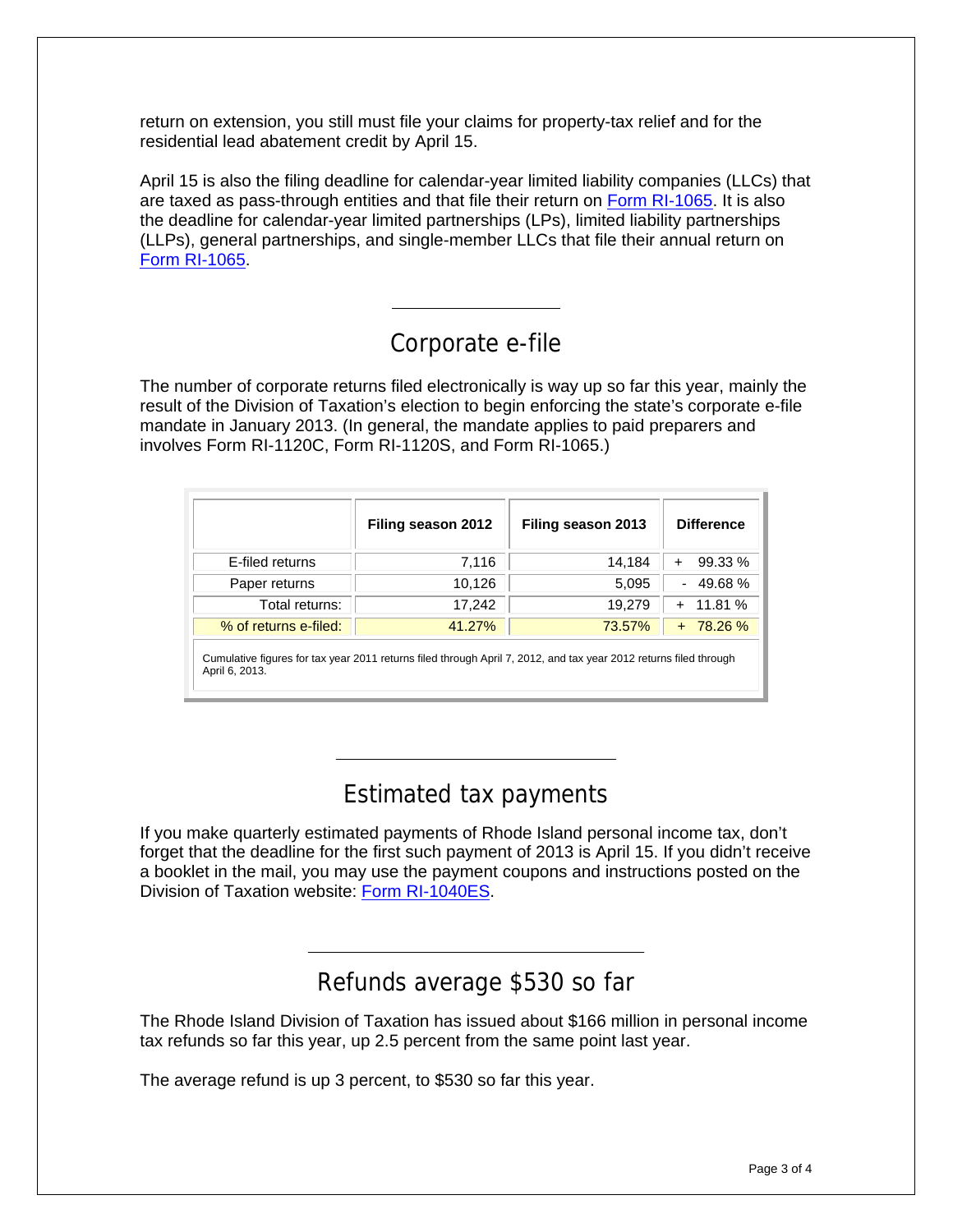return on extension, you still must file your claims for property-tax relief and for the residential lead abatement credit by April 15.

April 15 is also the filing deadline for calendar-year limited liability companies (LLCs) that are taxed as pass-through entities and that file their return on [Form RI-1065](http://www.tax.ri.gov/forms/2012/Corp/2012%20RI-1065.pdf). It is also the deadline for calendar-year limited partnerships (LPs), limited liability partnerships (LLPs), general partnerships, and single-member LLCs that file their annual return on [Form RI-1065.](http://www.tax.ri.gov/forms/2012/Corp/2012%20RI-1065.pdf)

#### Corporate e-file

The number of corporate returns filed electronically is way up so far this year, mainly the result of the Division of Taxation's election to begin enforcing the state's corporate e-file mandate in January 2013. (In general, the mandate applies to paid preparers and involves Form RI-1120C, Form RI-1120S, and Form RI-1065.)

|                                                                                                                                     | Filing season 2012 | Filing season 2013 | <b>Difference</b>    |  |  |
|-------------------------------------------------------------------------------------------------------------------------------------|--------------------|--------------------|----------------------|--|--|
| E-filed returns                                                                                                                     | 7,116              | 14,184             | 99.33 %<br>$\ddot{}$ |  |  |
| Paper returns                                                                                                                       | 10,126             | 5,095              | $-49.68%$            |  |  |
| Total returns:                                                                                                                      | 17,242             | 19,279             | $+ 11.81 \%$         |  |  |
| % of returns e-filed:                                                                                                               | 41.27%             | 73.57%             | $+ 78.26 \%$         |  |  |
| Cumulative figures for tax year 2011 returns filed through April 7, 2012, and tax year 2012 returns filed through<br>April 6, 2013. |                    |                    |                      |  |  |

#### Estimated tax payments

If you make quarterly estimated payments of Rhode Island personal income tax, don't forget that the deadline for the first such payment of 2013 is April 15. If you didn't receive a booklet in the mail, you may use the payment coupons and instructions posted on the Division of Taxation website: [Form RI-1040ES.](http://www.tax.ri.gov/forms/2013/Income/2013%20RI-1040ES%20-%20web%20version.pdf)

## Refunds average \$530 so far

The Rhode Island Division of Taxation has issued about \$166 million in personal income tax refunds so far this year, up 2.5 percent from the same point last year.

The average refund is up 3 percent, to \$530 so far this year.